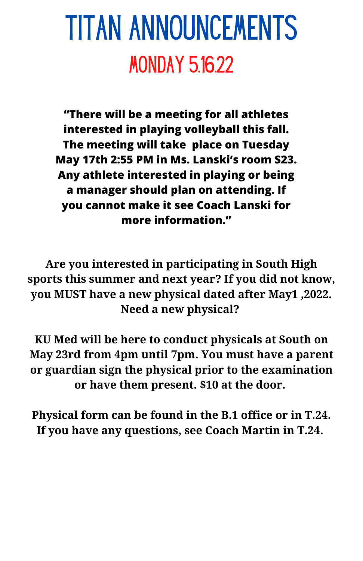## TITAN ANNOUNCEMENTS **MONDAY 5.16.22**

**"There will be a meeting for all athletes interested in playing volleyball this fall. The meeting will take place on Tuesday May 17th 2:55 PM in Ms. Lanski's room S23. Any athlete interested in playing or being a manager should plan on attending. If you cannot make it see Coach Lanski for more information."**

**Are you interested in participating in South High sports this summer and next year? If you did not know, you MUST have a new physical dated after May1 ,2022. Need a new physical?**

**KU Med will be here to conduct physicals at South on May 23rd from 4pm until 7pm. You must have a parent or guardian sign the physical prior to the examination or have them present. \$10 at the door.**

**Physical form can be found in the B.1 office or in T.24. If you have any questions, see Coach Martin in T.24.**